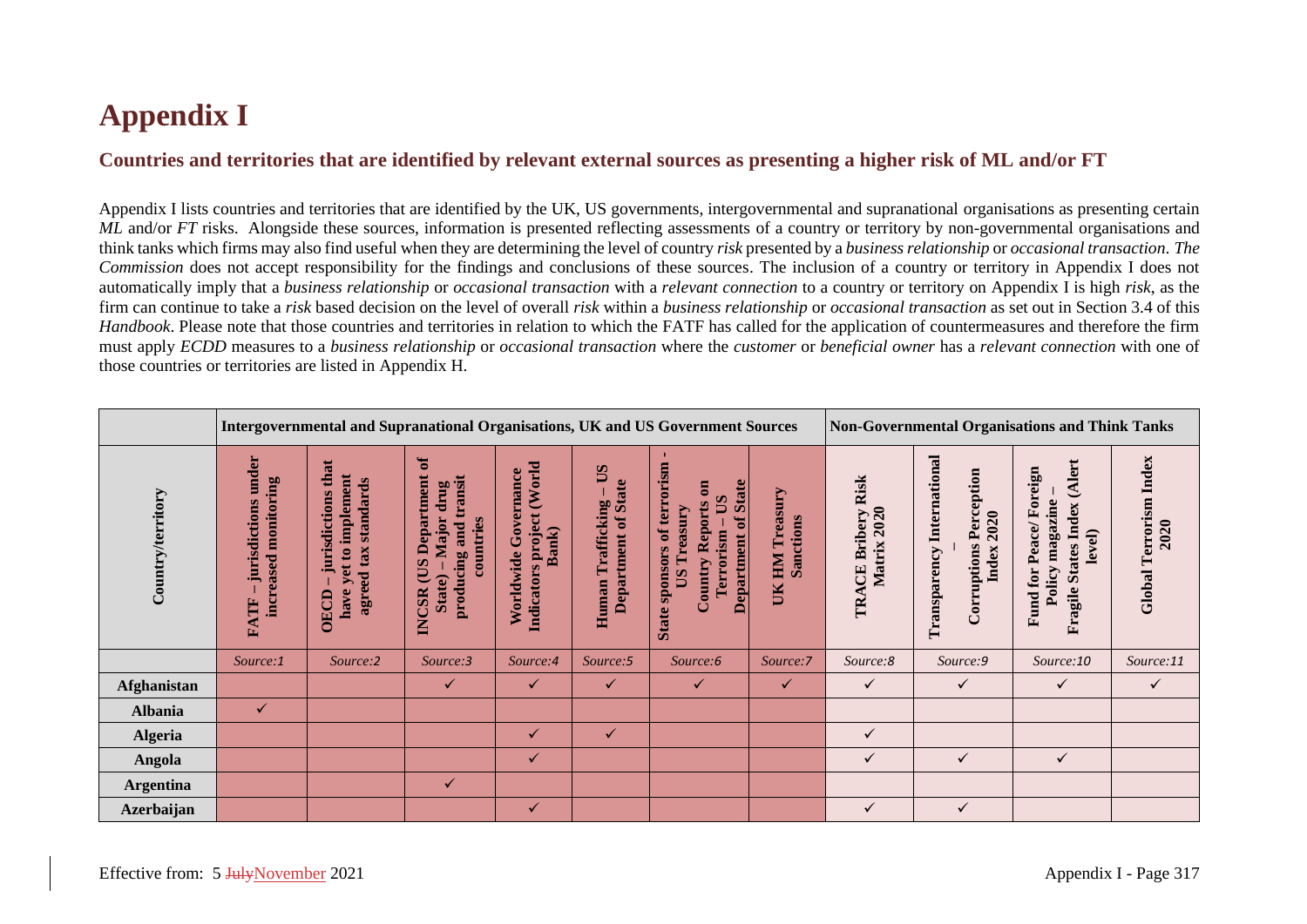## **Appendix I**

## **Countries and territories that are identified by relevant external sources as presenting a higher risk of ML and/or FT**

Appendix I lists countries and territories that are identified by the UK, US governments, intergovernmental and supranational organisations as presenting certain *ML* and/or *FT* risks. Alongside these sources, information is presented reflecting assessments of a country or territory by non-governmental organisations and think tanks which firms may also find useful when they are determining the level of country *risk* presented by a *business relationship* or *occasional transaction*. *The Commission* does not accept responsibility for the findings and conclusions of these sources. The inclusion of a country or territory in Appendix I does not automatically imply that a *business relationship* or *occasional transaction* with a *relevant connection* to a country or territory on Appendix I is high *risk*, as the firm can continue to take a *risk* based decision on the level of overall *risk* within a *business relationship* or *occasional transaction* as set out in Section 3.4 of this *Handbook*. Please note that those countries and territories in relation to which the FATF has called for the application of countermeasures and therefore the firm must apply *ECDD* measures to a *business relationship* or *occasional transaction* where the *customer* or *beneficial owner* has a *relevant connection* with one of those countries or territories are listed in Appendix H.

|                    |                                                              | Intergovernmental and Supranational Organisations, UK and US Government Sources                                 |                                                                                                               |                                                               |                                                          |                                                                                                                                                      |                                           |                                   |                                                                                 | <b>Non-Governmental Organisations and Think Tanks</b>                                                 |                                      |  |  |
|--------------------|--------------------------------------------------------------|-----------------------------------------------------------------------------------------------------------------|---------------------------------------------------------------------------------------------------------------|---------------------------------------------------------------|----------------------------------------------------------|------------------------------------------------------------------------------------------------------------------------------------------------------|-------------------------------------------|-----------------------------------|---------------------------------------------------------------------------------|-------------------------------------------------------------------------------------------------------|--------------------------------------|--|--|
| Country/territory  | under<br>monitoring<br>jurisdictions<br>increased<br>Ě<br>FA | jurisdictions that<br>implement<br>standards<br>agreed tax<br>$\mathbf{c}$<br>$\mathbf{e}$<br>⋗<br>have<br>OECD | $\sigma$<br>Department<br>producing and transit<br>drug<br>Major<br>countries<br>SO<br>State)<br><b>INCSR</b> | (World<br>Worldwide Governance<br>Indicators project<br>Bank) | Sû<br><b>Department of State</b><br>Trafficking<br>Human | State sponsors of terrorism<br><b>Department of State</b><br>$\overline{a}$<br>$\mathbf{S}$<br><b>Country Reports</b><br>Treasury<br>Terrorism<br>SQ | Treasury<br>Sanctions<br><b>NIH</b><br>UК | TRACE Bribery Risk<br>Matrix 2020 | <b>Transparency International</b><br>Perception<br>2020<br>Corruptions<br>Index | (Alert<br>for Peace/Foreign<br>magazine<br><b>States Index</b><br>level)<br>Policy<br>Fragile<br>Fund | Index<br>Terrorism<br>2020<br>Global |  |  |
|                    | Source:1                                                     | Source:2                                                                                                        | Source:3                                                                                                      | Source:4                                                      | Source:5                                                 | Source:6                                                                                                                                             | Source:7                                  | Source:8                          | Source:9                                                                        | Source:10                                                                                             | Source:11                            |  |  |
| <b>Afghanistan</b> |                                                              |                                                                                                                 | $\checkmark$                                                                                                  | ✓                                                             | $\checkmark$                                             | $\checkmark$                                                                                                                                         | $\checkmark$                              | $\checkmark$                      | ✓                                                                               | ✓                                                                                                     | $\checkmark$                         |  |  |
| <b>Albania</b>     | ✓                                                            |                                                                                                                 |                                                                                                               |                                                               |                                                          |                                                                                                                                                      |                                           |                                   |                                                                                 |                                                                                                       |                                      |  |  |
| <b>Algeria</b>     |                                                              |                                                                                                                 |                                                                                                               | ✓                                                             | $\checkmark$                                             |                                                                                                                                                      |                                           | ✓                                 |                                                                                 |                                                                                                       |                                      |  |  |
| Angola             |                                                              |                                                                                                                 |                                                                                                               | ✓                                                             |                                                          |                                                                                                                                                      |                                           | ✓                                 | ✓                                                                               | ✓                                                                                                     |                                      |  |  |
| <b>Argentina</b>   |                                                              |                                                                                                                 | $\checkmark$                                                                                                  |                                                               |                                                          |                                                                                                                                                      |                                           |                                   |                                                                                 |                                                                                                       |                                      |  |  |
| <b>Azerbaijan</b>  |                                                              |                                                                                                                 |                                                                                                               | ✓                                                             |                                                          |                                                                                                                                                      |                                           | ✓                                 | ✓                                                                               |                                                                                                       |                                      |  |  |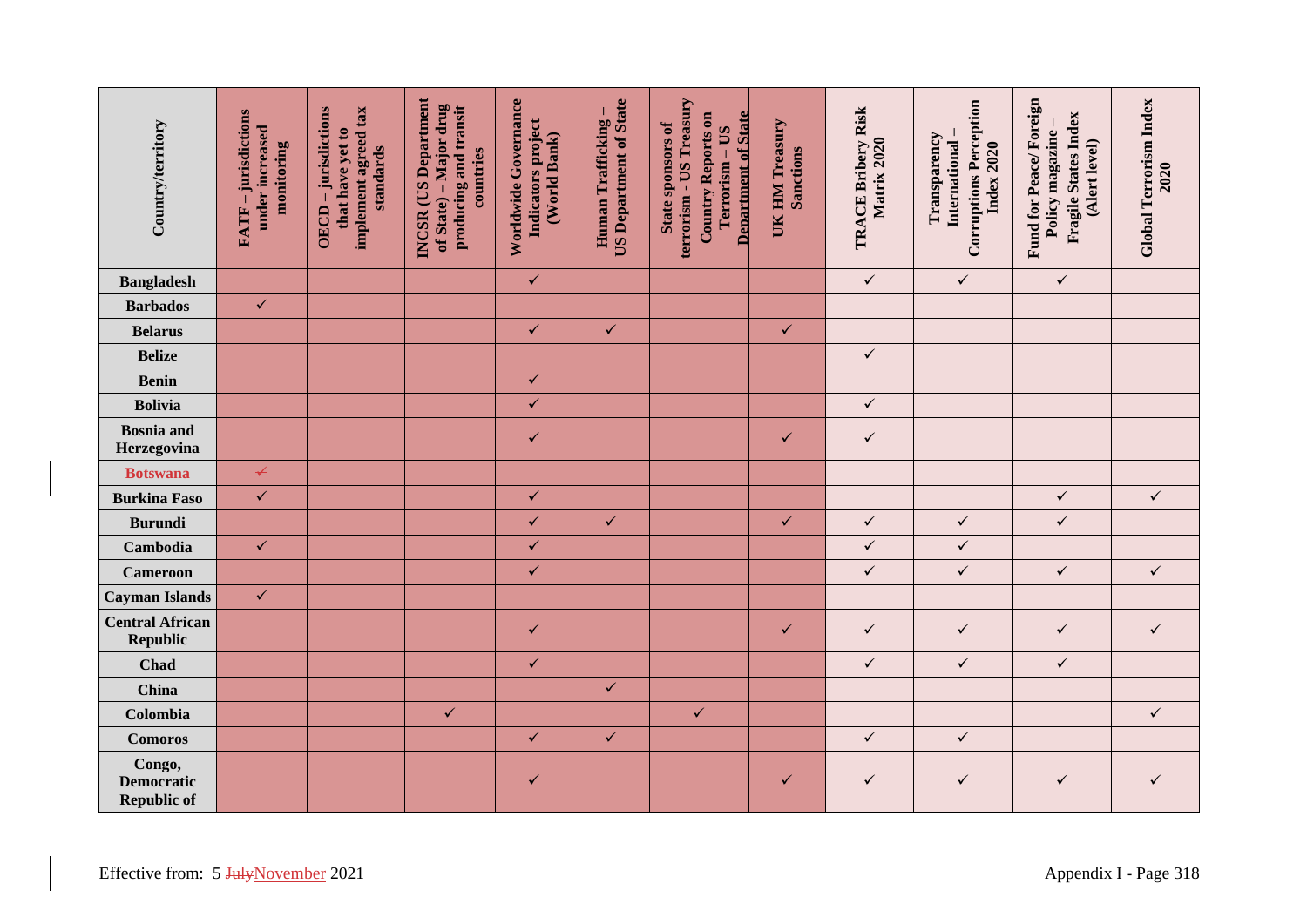| Country/territory                                 | FATF - jurisdictions<br>under increased<br>monitoring | implement agreed tax<br>OECD-jurisdictions<br>that have yet to<br>standards | <b>INCSR</b> (US Department<br>of State) – Major drug<br>producing and transit<br>countries | Worldwide Governance<br>Indicators project<br>(World Bank) | <b>US Department of State</b><br>Human Trafficking- | terrorism - US Treasury<br>Country Reports on<br><b>Department of State</b><br>State sponsors of<br>Terrorism - US | UK HM Treasury<br>Sanctions | TRACE Bribery Risk<br>Matrix 2020 | <b>Corruptions Perception</b><br>Transparency<br>International<br>Index 2020 | Fund for Peace/Foreign<br>Fragile States Index<br>Policy magazine-<br>(Alert level) | Global Terrorism Index<br>2020 |
|---------------------------------------------------|-------------------------------------------------------|-----------------------------------------------------------------------------|---------------------------------------------------------------------------------------------|------------------------------------------------------------|-----------------------------------------------------|--------------------------------------------------------------------------------------------------------------------|-----------------------------|-----------------------------------|------------------------------------------------------------------------------|-------------------------------------------------------------------------------------|--------------------------------|
| <b>Bangladesh</b>                                 |                                                       |                                                                             |                                                                                             | $\checkmark$                                               |                                                     |                                                                                                                    |                             | $\checkmark$                      | $\checkmark$                                                                 | $\checkmark$                                                                        |                                |
| <b>Barbados</b>                                   | $\checkmark$                                          |                                                                             |                                                                                             |                                                            |                                                     |                                                                                                                    |                             |                                   |                                                                              |                                                                                     |                                |
| <b>Belarus</b>                                    |                                                       |                                                                             |                                                                                             | $\checkmark$                                               | $\checkmark$                                        |                                                                                                                    | $\checkmark$                |                                   |                                                                              |                                                                                     |                                |
| <b>Belize</b>                                     |                                                       |                                                                             |                                                                                             |                                                            |                                                     |                                                                                                                    |                             | $\checkmark$                      |                                                                              |                                                                                     |                                |
| <b>Benin</b>                                      |                                                       |                                                                             |                                                                                             | $\checkmark$                                               |                                                     |                                                                                                                    |                             |                                   |                                                                              |                                                                                     |                                |
| <b>Bolivia</b>                                    |                                                       |                                                                             |                                                                                             | $\checkmark$                                               |                                                     |                                                                                                                    |                             | $\checkmark$                      |                                                                              |                                                                                     |                                |
| <b>Bosnia</b> and<br>Herzegovina                  |                                                       |                                                                             |                                                                                             | $\checkmark$                                               |                                                     |                                                                                                                    | $\checkmark$                | $\checkmark$                      |                                                                              |                                                                                     |                                |
| <b>Botswana</b>                                   | $\prec$                                               |                                                                             |                                                                                             |                                                            |                                                     |                                                                                                                    |                             |                                   |                                                                              |                                                                                     |                                |
| <b>Burkina Faso</b>                               | $\checkmark$                                          |                                                                             |                                                                                             | $\checkmark$                                               |                                                     |                                                                                                                    |                             |                                   |                                                                              | $\checkmark$                                                                        | $\checkmark$                   |
| <b>Burundi</b>                                    |                                                       |                                                                             |                                                                                             | $\checkmark$                                               | $\checkmark$                                        |                                                                                                                    | $\checkmark$                | $\checkmark$                      | $\checkmark$                                                                 | $\checkmark$                                                                        |                                |
| Cambodia                                          | $\checkmark$                                          |                                                                             |                                                                                             | $\checkmark$                                               |                                                     |                                                                                                                    |                             | $\checkmark$                      | $\checkmark$                                                                 |                                                                                     |                                |
| <b>Cameroon</b>                                   |                                                       |                                                                             |                                                                                             | $\checkmark$                                               |                                                     |                                                                                                                    |                             | $\checkmark$                      | $\checkmark$                                                                 | $\checkmark$                                                                        | $\checkmark$                   |
| <b>Cayman Islands</b>                             | $\checkmark$                                          |                                                                             |                                                                                             |                                                            |                                                     |                                                                                                                    |                             |                                   |                                                                              |                                                                                     |                                |
| <b>Central African</b><br><b>Republic</b>         |                                                       |                                                                             |                                                                                             | $\checkmark$                                               |                                                     |                                                                                                                    | $\checkmark$                | $\checkmark$                      | $\checkmark$                                                                 | $\checkmark$                                                                        | $\checkmark$                   |
| Chad                                              |                                                       |                                                                             |                                                                                             | $\checkmark$                                               |                                                     |                                                                                                                    |                             | $\checkmark$                      | $\checkmark$                                                                 | $\checkmark$                                                                        |                                |
| China                                             |                                                       |                                                                             |                                                                                             |                                                            | $\checkmark$                                        |                                                                                                                    |                             |                                   |                                                                              |                                                                                     |                                |
| Colombia                                          |                                                       |                                                                             | $\checkmark$                                                                                |                                                            |                                                     | $\checkmark$                                                                                                       |                             |                                   |                                                                              |                                                                                     | $\checkmark$                   |
| <b>Comoros</b>                                    |                                                       |                                                                             |                                                                                             | $\checkmark$                                               | $\checkmark$                                        |                                                                                                                    |                             | $\checkmark$                      | $\checkmark$                                                                 |                                                                                     |                                |
| Congo,<br><b>Democratic</b><br><b>Republic of</b> |                                                       |                                                                             |                                                                                             | $\checkmark$                                               |                                                     |                                                                                                                    | $\checkmark$                | $\checkmark$                      | $\checkmark$                                                                 | $\checkmark$                                                                        | $\checkmark$                   |
| Effective from: 5 JulyNovember 2021               |                                                       |                                                                             |                                                                                             |                                                            |                                                     |                                                                                                                    |                             |                                   |                                                                              |                                                                                     | Appendix I - Page 318          |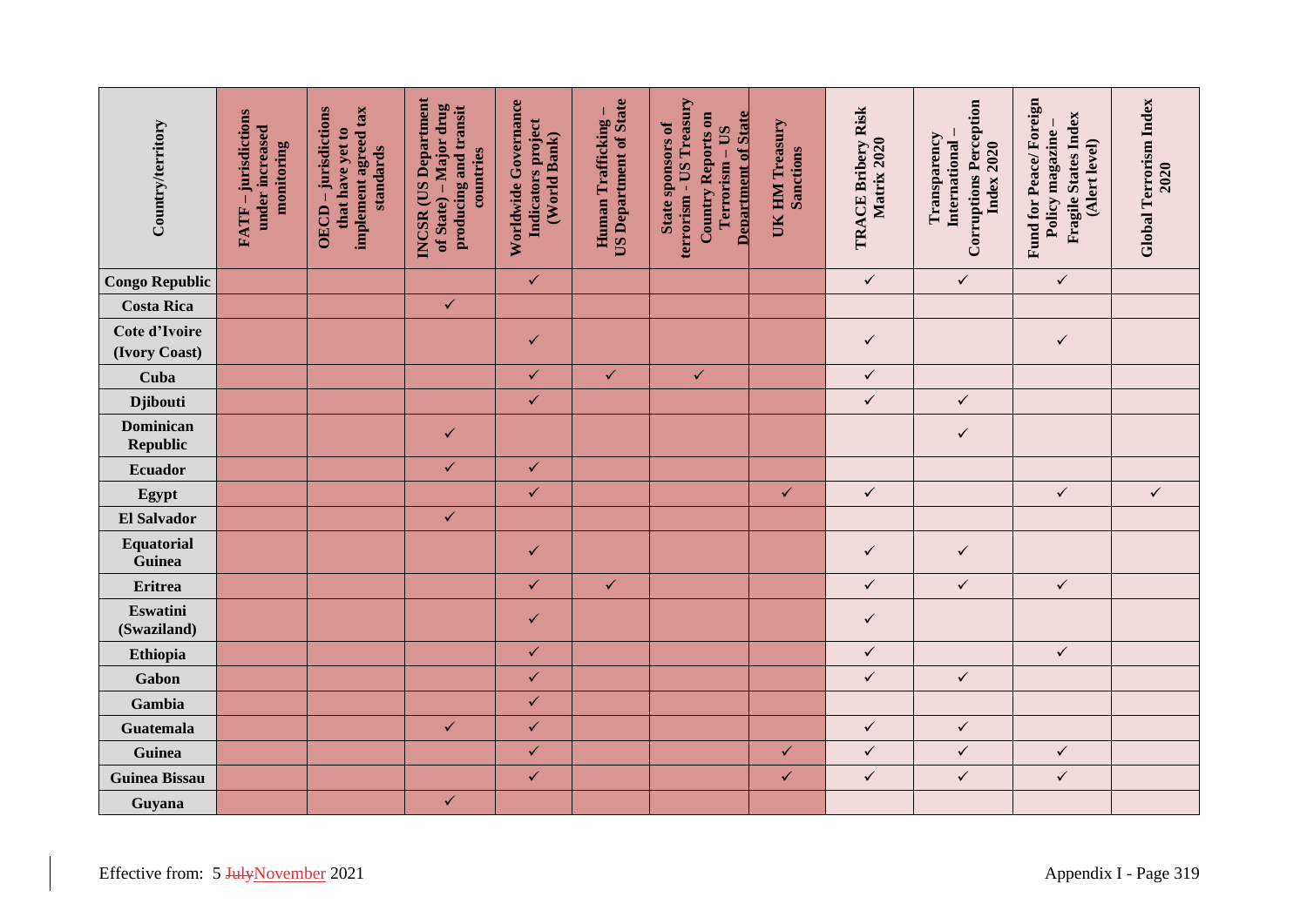| Country/territory                   | FATF - jurisdictions<br>under increased<br>monitoring | implement agreed tax<br>OECD-jurisdictions<br>that have yet to<br>standards | INCSR (US Department<br>of State) – Major drug<br>producing and transit<br>countries | Worldwide Governance<br>Indicators project<br>(World Bank) | <b>US Department of State</b><br>Human Trafficking- | terrorism - US Treasury<br><b>Country Reports on</b><br><b>Department of State</b><br>State sponsors of<br>Terrorism - US | UK HM Treasury<br><b>Sanctions</b> | <b>TRACE Bribery Risk</b><br>Matrix 2020 | <b>Corruptions Perception</b><br>Transparency<br>International<br>Index 2020 | Fund for Peace/Foreign<br><b>Fragile States Index</b><br>Policy magazine -<br>(Alert level) | Global Terrorism Index<br>2020 |
|-------------------------------------|-------------------------------------------------------|-----------------------------------------------------------------------------|--------------------------------------------------------------------------------------|------------------------------------------------------------|-----------------------------------------------------|---------------------------------------------------------------------------------------------------------------------------|------------------------------------|------------------------------------------|------------------------------------------------------------------------------|---------------------------------------------------------------------------------------------|--------------------------------|
| <b>Congo Republic</b>               |                                                       |                                                                             |                                                                                      | $\checkmark$                                               |                                                     |                                                                                                                           |                                    | $\checkmark$                             | $\checkmark$                                                                 | $\checkmark$                                                                                |                                |
| <b>Costa Rica</b>                   |                                                       |                                                                             | $\checkmark$                                                                         |                                                            |                                                     |                                                                                                                           |                                    |                                          |                                                                              |                                                                                             |                                |
| Cote d'Ivoire<br>(Ivory Coast)      |                                                       |                                                                             |                                                                                      | $\checkmark$                                               |                                                     |                                                                                                                           |                                    | $\checkmark$                             |                                                                              | $\checkmark$                                                                                |                                |
| Cuba                                |                                                       |                                                                             |                                                                                      | $\checkmark$                                               | $\checkmark$                                        | $\checkmark$                                                                                                              |                                    | $\checkmark$                             |                                                                              |                                                                                             |                                |
| <b>Djibouti</b>                     |                                                       |                                                                             |                                                                                      | $\checkmark$                                               |                                                     |                                                                                                                           |                                    | $\checkmark$                             | $\checkmark$                                                                 |                                                                                             |                                |
| <b>Dominican</b><br><b>Republic</b> |                                                       |                                                                             | $\checkmark$                                                                         |                                                            |                                                     |                                                                                                                           |                                    |                                          | $\checkmark$                                                                 |                                                                                             |                                |
| <b>Ecuador</b>                      |                                                       |                                                                             | $\checkmark$                                                                         | $\checkmark$                                               |                                                     |                                                                                                                           |                                    |                                          |                                                                              |                                                                                             |                                |
| Egypt                               |                                                       |                                                                             |                                                                                      | $\checkmark$                                               |                                                     |                                                                                                                           | $\checkmark$                       | $\checkmark$                             |                                                                              | $\checkmark$                                                                                | $\checkmark$                   |
| <b>El Salvador</b>                  |                                                       |                                                                             | $\checkmark$                                                                         |                                                            |                                                     |                                                                                                                           |                                    |                                          |                                                                              |                                                                                             |                                |
| Equatorial<br>Guinea                |                                                       |                                                                             |                                                                                      | $\checkmark$                                               |                                                     |                                                                                                                           |                                    | $\checkmark$                             | $\checkmark$                                                                 |                                                                                             |                                |
| Eritrea                             |                                                       |                                                                             |                                                                                      | $\checkmark$                                               | $\checkmark$                                        |                                                                                                                           |                                    | $\checkmark$                             | $\checkmark$                                                                 | $\checkmark$                                                                                |                                |
| <b>Eswatini</b><br>(Swaziland)      |                                                       |                                                                             |                                                                                      | $\checkmark$                                               |                                                     |                                                                                                                           |                                    | $\checkmark$                             |                                                                              |                                                                                             |                                |
| Ethiopia                            |                                                       |                                                                             |                                                                                      | $\checkmark$                                               |                                                     |                                                                                                                           |                                    | $\checkmark$                             |                                                                              | $\checkmark$                                                                                |                                |
| Gabon                               |                                                       |                                                                             |                                                                                      | $\checkmark$                                               |                                                     |                                                                                                                           |                                    | $\checkmark$                             | $\checkmark$                                                                 |                                                                                             |                                |
| Gambia                              |                                                       |                                                                             |                                                                                      | $\checkmark$                                               |                                                     |                                                                                                                           |                                    |                                          |                                                                              |                                                                                             |                                |
| <b>Guatemala</b>                    |                                                       |                                                                             | $\checkmark$                                                                         | $\checkmark$                                               |                                                     |                                                                                                                           |                                    | $\checkmark$                             | $\checkmark$                                                                 |                                                                                             |                                |
| Guinea                              |                                                       |                                                                             |                                                                                      | $\checkmark$                                               |                                                     |                                                                                                                           | $\checkmark$                       | $\checkmark$                             | $\checkmark$                                                                 | $\checkmark$                                                                                |                                |
| <b>Guinea Bissau</b>                |                                                       |                                                                             |                                                                                      | $\checkmark$                                               |                                                     |                                                                                                                           | $\checkmark$                       | $\checkmark$                             | $\checkmark$                                                                 | $\checkmark$                                                                                |                                |
| Guyana                              |                                                       |                                                                             | $\checkmark$                                                                         |                                                            |                                                     |                                                                                                                           |                                    |                                          |                                                                              |                                                                                             |                                |
| Effective from: 5 JulyNovember 2021 |                                                       |                                                                             |                                                                                      |                                                            |                                                     |                                                                                                                           |                                    |                                          |                                                                              |                                                                                             | Appendix I - Page 319          |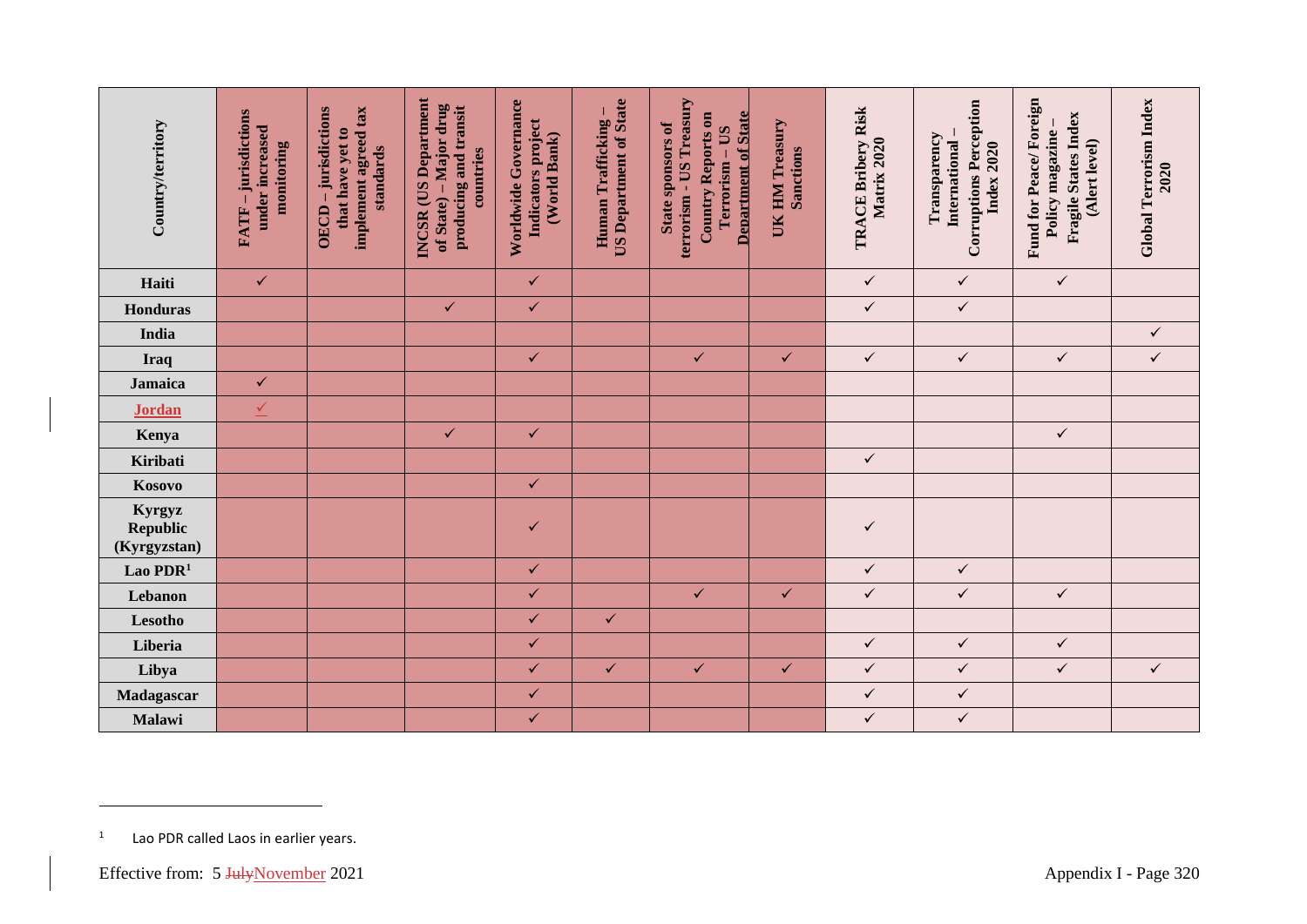| <b>Country/territory</b>                            | FATF – jurisdictions<br>under increased<br>monitoring | implement agreed tax<br>OECD-jurisdictions<br>that have yet to<br>standards | <b>INCSR</b> (US Department<br>of State) – Major drug<br>producing and transit<br>countries | Worldwide Governance<br>Indicators project<br>(World Bank) | <b>US Department of State</b><br>Human Trafficking- | terrorism - US Treasury<br><b>Country Reports on</b><br><b>Department of State</b><br>State sponsors of<br>Terrorism - US | UK HM Treasury<br><b>Sanctions</b> | <b>TRACE Bribery Risk</b><br>Matrix 2020 | <b>Corruptions Perception</b><br>Transparency<br>International<br><b>Index 2020</b> | Fund for Peace/Foreign<br><b>Fragile States Index</b><br>Policy magazine-<br>(Alert level) | Global Terrorism Index<br>2020 |
|-----------------------------------------------------|-------------------------------------------------------|-----------------------------------------------------------------------------|---------------------------------------------------------------------------------------------|------------------------------------------------------------|-----------------------------------------------------|---------------------------------------------------------------------------------------------------------------------------|------------------------------------|------------------------------------------|-------------------------------------------------------------------------------------|--------------------------------------------------------------------------------------------|--------------------------------|
| Haiti                                               | $\checkmark$                                          |                                                                             |                                                                                             | $\checkmark$                                               |                                                     |                                                                                                                           |                                    | $\checkmark$                             | $\checkmark$                                                                        | $\checkmark$                                                                               |                                |
| <b>Honduras</b>                                     |                                                       |                                                                             | $\checkmark$                                                                                | $\checkmark$                                               |                                                     |                                                                                                                           |                                    | $\checkmark$                             | $\checkmark$                                                                        |                                                                                            |                                |
| India                                               |                                                       |                                                                             |                                                                                             |                                                            |                                                     |                                                                                                                           |                                    |                                          |                                                                                     |                                                                                            | $\checkmark$                   |
| <b>Iraq</b>                                         |                                                       |                                                                             |                                                                                             | $\checkmark$                                               |                                                     | $\checkmark$                                                                                                              | $\checkmark$                       | $\checkmark$                             | $\checkmark$                                                                        | $\checkmark$                                                                               | $\checkmark$                   |
| <b>Jamaica</b>                                      | $\checkmark$                                          |                                                                             |                                                                                             |                                                            |                                                     |                                                                                                                           |                                    |                                          |                                                                                     |                                                                                            |                                |
| <b>Jordan</b>                                       | $\sqrt{}$                                             |                                                                             |                                                                                             |                                                            |                                                     |                                                                                                                           |                                    |                                          |                                                                                     |                                                                                            |                                |
| Kenya                                               |                                                       |                                                                             | $\checkmark$                                                                                | $\checkmark$                                               |                                                     |                                                                                                                           |                                    |                                          |                                                                                     | $\checkmark$                                                                               |                                |
| Kiribati                                            |                                                       |                                                                             |                                                                                             |                                                            |                                                     |                                                                                                                           |                                    | $\checkmark$                             |                                                                                     |                                                                                            |                                |
| Kosovo                                              |                                                       |                                                                             |                                                                                             | $\checkmark$                                               |                                                     |                                                                                                                           |                                    |                                          |                                                                                     |                                                                                            |                                |
| Kyrgyz<br>Republic<br>(Kyrgyzstan)                  |                                                       |                                                                             |                                                                                             | $\checkmark$                                               |                                                     |                                                                                                                           |                                    | $\checkmark$                             |                                                                                     |                                                                                            |                                |
| Lao $PDR1$                                          |                                                       |                                                                             |                                                                                             | $\checkmark$                                               |                                                     |                                                                                                                           |                                    | $\checkmark$                             | $\checkmark$                                                                        |                                                                                            |                                |
| Lebanon                                             |                                                       |                                                                             |                                                                                             | $\checkmark$                                               |                                                     | $\checkmark$                                                                                                              | $\checkmark$                       | $\checkmark$                             | $\checkmark$                                                                        | $\checkmark$                                                                               |                                |
| Lesotho                                             |                                                       |                                                                             |                                                                                             | $\checkmark$                                               | $\checkmark$                                        |                                                                                                                           |                                    |                                          |                                                                                     |                                                                                            |                                |
| Liberia                                             |                                                       |                                                                             |                                                                                             | $\checkmark$                                               |                                                     |                                                                                                                           |                                    | $\checkmark$                             | $\checkmark$                                                                        | $\checkmark$                                                                               |                                |
| Libya                                               |                                                       |                                                                             |                                                                                             | $\checkmark$                                               | $\checkmark$                                        | $\checkmark$                                                                                                              | $\checkmark$                       | $\checkmark$                             | $\checkmark$                                                                        | $\checkmark$                                                                               | $\checkmark$                   |
| Madagascar                                          |                                                       |                                                                             |                                                                                             | $\checkmark$                                               |                                                     |                                                                                                                           |                                    | $\checkmark$                             | $\checkmark$                                                                        |                                                                                            |                                |
| Malawi                                              |                                                       |                                                                             |                                                                                             | $\checkmark$                                               |                                                     |                                                                                                                           |                                    | $\checkmark$                             | $\checkmark$                                                                        |                                                                                            |                                |
| $\mathbf{1}$<br>Effective from: 5 JulyNovember 2021 | Lao PDR called Laos in earlier years.                 |                                                                             |                                                                                             |                                                            |                                                     |                                                                                                                           |                                    |                                          |                                                                                     |                                                                                            | Appendix I - Page 320          |

<sup>1</sup> Lao PDR called Laos in earlier years.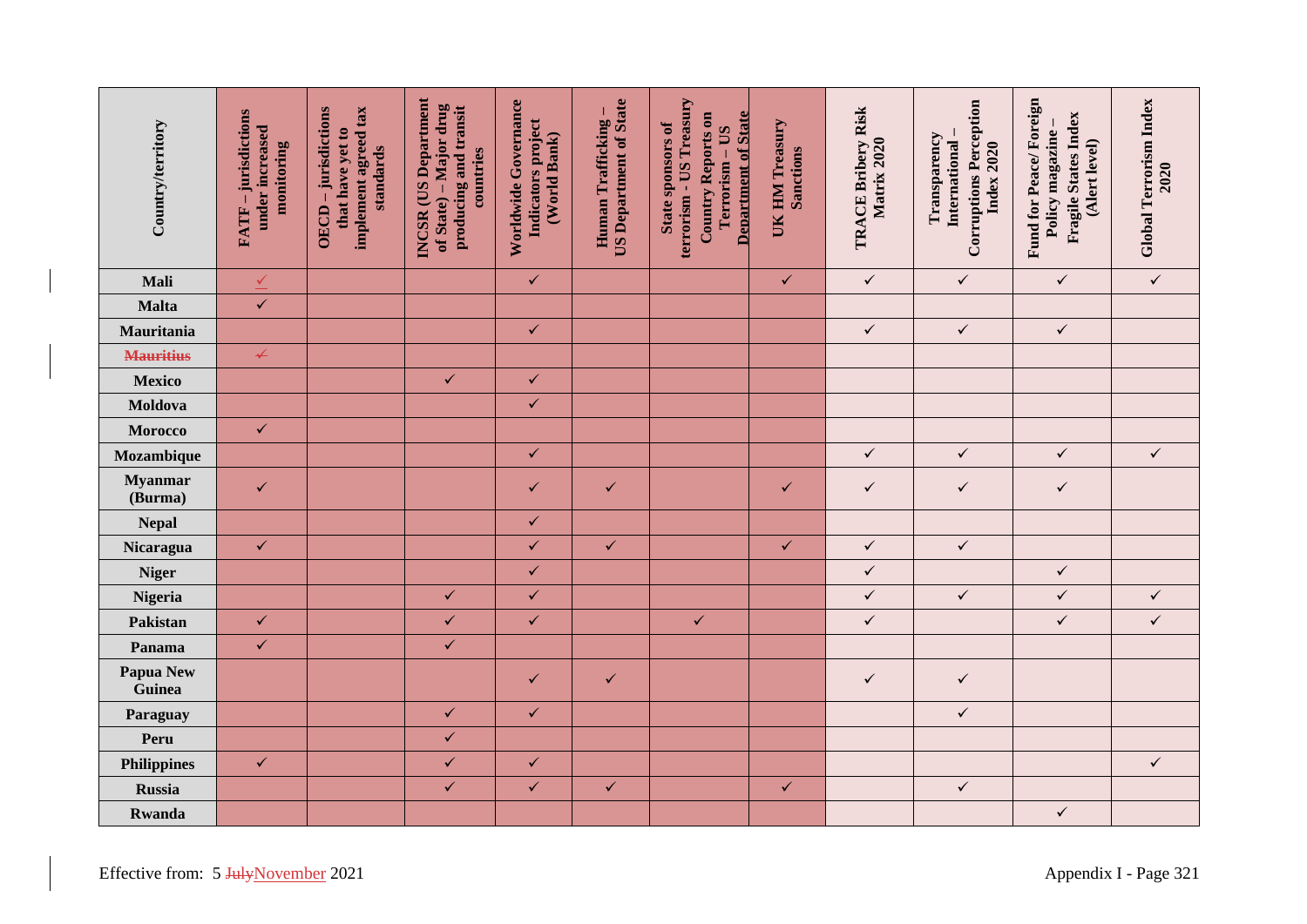| <b>Country/territory</b>            | FATF - jurisdictions<br>under increased<br>monitoring | implement agreed tax<br>OECD-jurisdictions<br>that have yet to<br>standards | <b>INCSR</b> (US Department<br>of State) – Major drug<br>producing and transit<br>countries | Worldwide Governance<br>Indicators project<br>(World Bank) | <b>US Department of State</b><br>Human Trafficking- | terrorism - US Treasury<br><b>Country Reports on</b><br><b>Department of State</b><br>State sponsors of<br>Terrorism - US | UK HM Treasury<br><b>Sanctions</b> | <b>TRACE Bribery Risk</b><br>Matrix 2020 | <b>Corruptions Perception</b><br>Transparency<br>International<br>Index 2020 | Fund for Peace/Foreign<br><b>Fragile States Index</b><br>Policy magazine -<br>(Alert level) | Global Terrorism Index<br>2020 |
|-------------------------------------|-------------------------------------------------------|-----------------------------------------------------------------------------|---------------------------------------------------------------------------------------------|------------------------------------------------------------|-----------------------------------------------------|---------------------------------------------------------------------------------------------------------------------------|------------------------------------|------------------------------------------|------------------------------------------------------------------------------|---------------------------------------------------------------------------------------------|--------------------------------|
| Mali                                | $\overline{\mathcal{L}}$                              |                                                                             |                                                                                             | $\checkmark$                                               |                                                     |                                                                                                                           | $\checkmark$                       | $\checkmark$                             | $\checkmark$                                                                 | $\checkmark$                                                                                | $\checkmark$                   |
| <b>Malta</b>                        | $\checkmark$                                          |                                                                             |                                                                                             |                                                            |                                                     |                                                                                                                           |                                    |                                          |                                                                              |                                                                                             |                                |
| Mauritania                          |                                                       |                                                                             |                                                                                             | $\checkmark$                                               |                                                     |                                                                                                                           |                                    | $\checkmark$                             | $\checkmark$                                                                 | $\checkmark$                                                                                |                                |
| <b>Mauritius</b>                    | $\overline{\mathbf{r}}$                               |                                                                             |                                                                                             |                                                            |                                                     |                                                                                                                           |                                    |                                          |                                                                              |                                                                                             |                                |
| <b>Mexico</b>                       |                                                       |                                                                             | $\checkmark$                                                                                | $\checkmark$                                               |                                                     |                                                                                                                           |                                    |                                          |                                                                              |                                                                                             |                                |
| Moldova                             |                                                       |                                                                             |                                                                                             | $\checkmark$                                               |                                                     |                                                                                                                           |                                    |                                          |                                                                              |                                                                                             |                                |
| <b>Morocco</b>                      | $\checkmark$                                          |                                                                             |                                                                                             |                                                            |                                                     |                                                                                                                           |                                    |                                          |                                                                              |                                                                                             |                                |
| Mozambique                          |                                                       |                                                                             |                                                                                             | $\checkmark$                                               |                                                     |                                                                                                                           |                                    | $\checkmark$                             | $\checkmark$                                                                 | $\checkmark$                                                                                | $\checkmark$                   |
| <b>Myanmar</b><br>(Burma)           | $\checkmark$                                          |                                                                             |                                                                                             | $\checkmark$                                               | $\checkmark$                                        |                                                                                                                           | $\checkmark$                       | $\checkmark$                             | $\checkmark$                                                                 | $\checkmark$                                                                                |                                |
| <b>Nepal</b>                        |                                                       |                                                                             |                                                                                             | $\checkmark$                                               |                                                     |                                                                                                                           |                                    |                                          |                                                                              |                                                                                             |                                |
| Nicaragua                           | $\checkmark$                                          |                                                                             |                                                                                             | $\checkmark$                                               | $\checkmark$                                        |                                                                                                                           | $\checkmark$                       | $\checkmark$                             | $\checkmark$                                                                 |                                                                                             |                                |
| <b>Niger</b>                        |                                                       |                                                                             |                                                                                             | $\checkmark$                                               |                                                     |                                                                                                                           |                                    | $\checkmark$                             |                                                                              | $\checkmark$                                                                                |                                |
| Nigeria                             |                                                       |                                                                             | $\checkmark$                                                                                | $\checkmark$                                               |                                                     |                                                                                                                           |                                    | $\checkmark$                             | $\checkmark$                                                                 | $\checkmark$                                                                                | $\checkmark$                   |
| Pakistan                            | $\checkmark$                                          |                                                                             | $\checkmark$                                                                                | $\checkmark$                                               |                                                     | $\checkmark$                                                                                                              |                                    | $\checkmark$                             |                                                                              | $\checkmark$                                                                                | $\checkmark$                   |
| Panama                              | $\checkmark$                                          |                                                                             | $\checkmark$                                                                                |                                                            |                                                     |                                                                                                                           |                                    |                                          |                                                                              |                                                                                             |                                |
| Papua New<br>Guinea                 |                                                       |                                                                             |                                                                                             | $\checkmark$                                               | $\checkmark$                                        |                                                                                                                           |                                    | $\checkmark$                             | $\checkmark$                                                                 |                                                                                             |                                |
| Paraguay                            |                                                       |                                                                             | $\checkmark$                                                                                | $\checkmark$                                               |                                                     |                                                                                                                           |                                    |                                          | $\checkmark$                                                                 |                                                                                             |                                |
| Peru                                |                                                       |                                                                             | $\checkmark$                                                                                |                                                            |                                                     |                                                                                                                           |                                    |                                          |                                                                              |                                                                                             |                                |
| <b>Philippines</b>                  | $\checkmark$                                          |                                                                             | $\checkmark$                                                                                | $\checkmark$                                               |                                                     |                                                                                                                           |                                    |                                          |                                                                              |                                                                                             | $\checkmark$                   |
| <b>Russia</b>                       |                                                       |                                                                             | $\checkmark$                                                                                | $\checkmark$                                               | $\checkmark$                                        |                                                                                                                           | $\checkmark$                       |                                          | $\checkmark$                                                                 |                                                                                             |                                |
| <b>Rwanda</b>                       |                                                       |                                                                             |                                                                                             |                                                            |                                                     |                                                                                                                           |                                    |                                          |                                                                              | $\checkmark$                                                                                |                                |
| Effective from: 5 JulyNovember 2021 |                                                       |                                                                             |                                                                                             |                                                            |                                                     |                                                                                                                           |                                    |                                          |                                                                              |                                                                                             | Appendix I - Page 321          |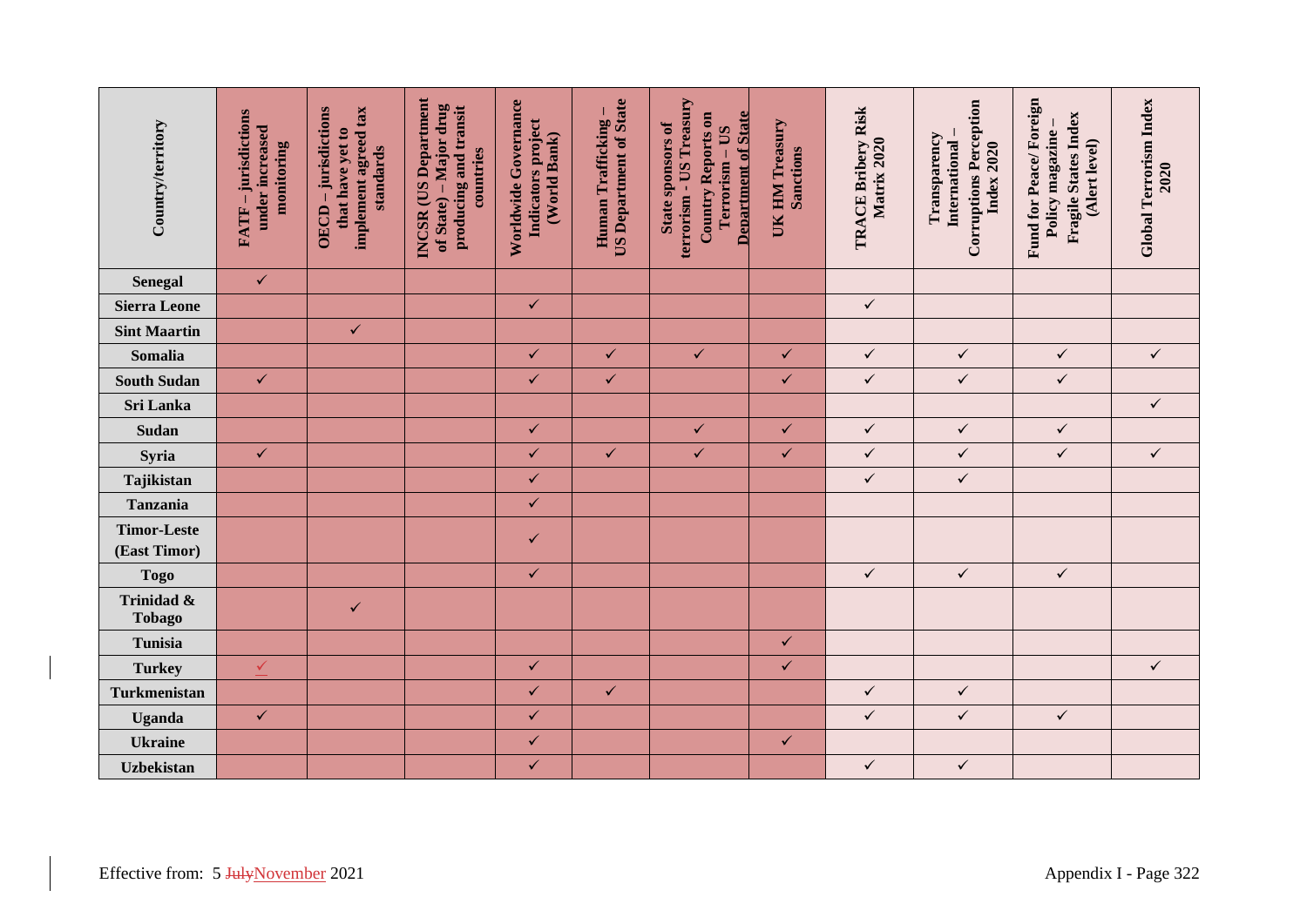| <b>Country/territory</b>           | FATF - jurisdictions<br>under increased<br>monitoring        | implement agreed tax<br>OECD-jurisdictions<br>that have yet to<br>standards | <b>INCSR</b> (US Department<br>of State) – Major drug<br>producing and transit<br>countries | Worldwide Governance<br>Indicators project<br>(World Bank) | <b>US Department of State</b><br>Human Trafficking- | terrorism - US Treasury<br>Country Reports on<br><b>Department of State</b><br>State sponsors of<br>Terrorism - US | UK HM Treasury<br>Sanctions | <b>TRACE Bribery Risk</b><br>Matrix 2020 | <b>Corruptions Perception</b><br>Transparency<br>International-<br>Index 2020 | Fund for Peace/Foreign<br><b>Fragile States Index</b><br>Policy magazine -<br>(Alert level) | <b>Global Terrorism Index</b><br>2020 |
|------------------------------------|--------------------------------------------------------------|-----------------------------------------------------------------------------|---------------------------------------------------------------------------------------------|------------------------------------------------------------|-----------------------------------------------------|--------------------------------------------------------------------------------------------------------------------|-----------------------------|------------------------------------------|-------------------------------------------------------------------------------|---------------------------------------------------------------------------------------------|---------------------------------------|
| Senegal                            | $\checkmark$                                                 |                                                                             |                                                                                             |                                                            |                                                     |                                                                                                                    |                             |                                          |                                                                               |                                                                                             |                                       |
| <b>Sierra Leone</b>                |                                                              |                                                                             |                                                                                             | $\checkmark$                                               |                                                     |                                                                                                                    |                             | $\checkmark$                             |                                                                               |                                                                                             |                                       |
| <b>Sint Maartin</b>                |                                                              | $\checkmark$                                                                |                                                                                             |                                                            |                                                     |                                                                                                                    |                             |                                          |                                                                               |                                                                                             |                                       |
| Somalia                            |                                                              |                                                                             |                                                                                             | $\checkmark$                                               | $\checkmark$                                        | $\checkmark$                                                                                                       | $\checkmark$                | $\checkmark$                             | $\checkmark$                                                                  | $\checkmark$                                                                                | $\checkmark$                          |
| <b>South Sudan</b>                 | $\checkmark$                                                 |                                                                             |                                                                                             | $\checkmark$                                               | $\checkmark$                                        |                                                                                                                    | $\checkmark$                | $\checkmark$                             | $\checkmark$                                                                  | $\checkmark$                                                                                |                                       |
| Sri Lanka                          |                                                              |                                                                             |                                                                                             |                                                            |                                                     |                                                                                                                    |                             |                                          |                                                                               |                                                                                             | $\checkmark$                          |
| Sudan                              |                                                              |                                                                             |                                                                                             | $\checkmark$                                               |                                                     | $\checkmark$                                                                                                       | $\checkmark$                | $\checkmark$                             | $\checkmark$                                                                  | $\checkmark$                                                                                |                                       |
| Syria                              | $\checkmark$                                                 |                                                                             |                                                                                             | $\checkmark$                                               | $\checkmark$                                        | $\checkmark$                                                                                                       | $\checkmark$                | $\checkmark$                             | $\checkmark$                                                                  | $\checkmark$                                                                                | $\checkmark$                          |
| Tajikistan                         |                                                              |                                                                             |                                                                                             | $\checkmark$                                               |                                                     |                                                                                                                    |                             | $\checkmark$                             | $\checkmark$                                                                  |                                                                                             |                                       |
| <b>Tanzania</b>                    |                                                              |                                                                             |                                                                                             | $\checkmark$                                               |                                                     |                                                                                                                    |                             |                                          |                                                                               |                                                                                             |                                       |
| <b>Timor-Leste</b><br>(East Timor) |                                                              |                                                                             |                                                                                             | $\checkmark$                                               |                                                     |                                                                                                                    |                             |                                          |                                                                               |                                                                                             |                                       |
| <b>Togo</b>                        |                                                              |                                                                             |                                                                                             | $\checkmark$                                               |                                                     |                                                                                                                    |                             | $\checkmark$                             | $\checkmark$                                                                  | $\checkmark$                                                                                |                                       |
| Trinidad &<br><b>Tobago</b>        |                                                              | $\checkmark$                                                                |                                                                                             |                                                            |                                                     |                                                                                                                    |                             |                                          |                                                                               |                                                                                             |                                       |
| Tunisia                            |                                                              |                                                                             |                                                                                             |                                                            |                                                     |                                                                                                                    | $\checkmark$                |                                          |                                                                               |                                                                                             |                                       |
| <b>Turkey</b>                      | $\leq$                                                       |                                                                             |                                                                                             | $\checkmark$                                               |                                                     |                                                                                                                    | $\checkmark$                |                                          |                                                                               |                                                                                             | $\checkmark$                          |
| <b>Turkmenistan</b>                |                                                              |                                                                             |                                                                                             | $\checkmark$                                               | $\checkmark$                                        |                                                                                                                    |                             | $\checkmark$                             | $\checkmark$                                                                  |                                                                                             |                                       |
| <b>Uganda</b>                      | $\checkmark$                                                 |                                                                             |                                                                                             | $\checkmark$                                               |                                                     |                                                                                                                    |                             | $\checkmark$                             | $\checkmark$                                                                  | $\checkmark$                                                                                |                                       |
| <b>Ukraine</b>                     |                                                              |                                                                             |                                                                                             | $\checkmark$                                               |                                                     |                                                                                                                    | $\checkmark$                |                                          |                                                                               |                                                                                             |                                       |
| <b>Uzbekistan</b>                  |                                                              |                                                                             |                                                                                             | $\checkmark$                                               |                                                     |                                                                                                                    |                             | $\checkmark$                             | $\checkmark$                                                                  |                                                                                             |                                       |
|                                    | Effective from: 5 JulyNovember 2021<br>Appendix I - Page 322 |                                                                             |                                                                                             |                                                            |                                                     |                                                                                                                    |                             |                                          |                                                                               |                                                                                             |                                       |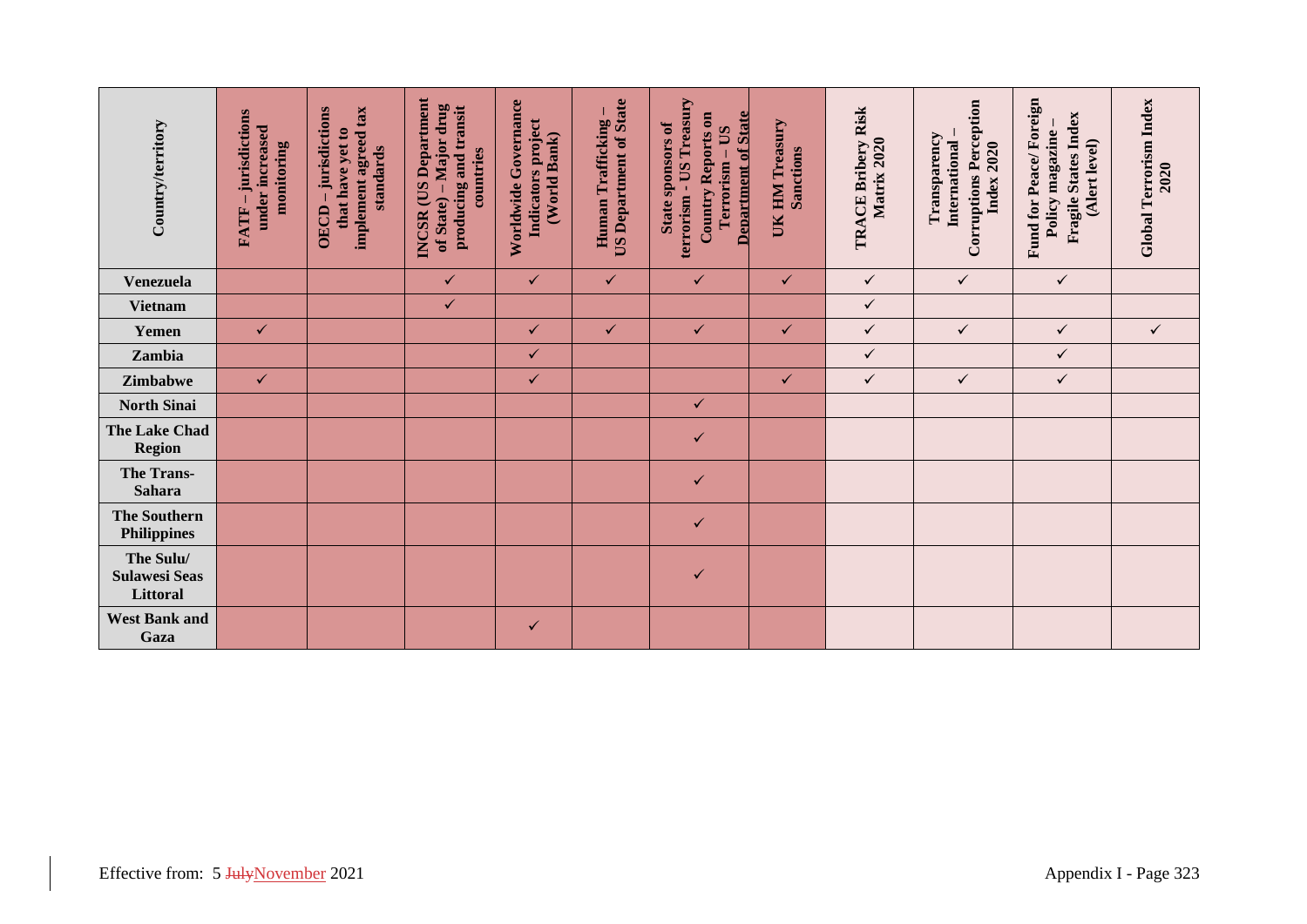| Country/territory                             | FATF - jurisdictions<br>under increased<br>monitoring | implement agreed tax<br>OECD-jurisdictions<br>that have yet to<br>standards | <b>INCSR</b> (US Department<br>of State) – Major drug<br>producing and transit<br>countries | Worldwide Governance<br>Indicators project<br>(World Bank) | <b>US Department of State</b><br>Human Trafficking- | terrorism - US Treasury<br><b>Country Reports on</b><br><b>Department of State</b><br>State sponsors of<br>Terrorism - US | UK HM Treasury<br>Sanctions | TRACE Bribery Risk<br>Matrix 2020 | <b>Corruptions Perception</b><br>Transparency<br>International<br>Index 2020 | Fund for Peace/Foreign<br>Fragile States Index<br>Policy magazine<br>(Alert level) | Global Terrorism Index<br>2020 |
|-----------------------------------------------|-------------------------------------------------------|-----------------------------------------------------------------------------|---------------------------------------------------------------------------------------------|------------------------------------------------------------|-----------------------------------------------------|---------------------------------------------------------------------------------------------------------------------------|-----------------------------|-----------------------------------|------------------------------------------------------------------------------|------------------------------------------------------------------------------------|--------------------------------|
| Venezuela                                     |                                                       |                                                                             | $\checkmark$                                                                                | $\checkmark$                                               | $\checkmark$                                        | $\checkmark$                                                                                                              | $\checkmark$                | $\checkmark$                      | $\checkmark$                                                                 | $\checkmark$                                                                       |                                |
| <b>Vietnam</b>                                |                                                       |                                                                             | $\checkmark$                                                                                |                                                            |                                                     |                                                                                                                           |                             | $\checkmark$                      |                                                                              |                                                                                    |                                |
| Yemen                                         | $\checkmark$                                          |                                                                             |                                                                                             | $\checkmark$                                               | $\checkmark$                                        | $\checkmark$                                                                                                              | $\checkmark$                | $\checkmark$                      | $\checkmark$                                                                 | $\checkmark$                                                                       | $\checkmark$                   |
| Zambia                                        |                                                       |                                                                             |                                                                                             | $\checkmark$                                               |                                                     |                                                                                                                           |                             | $\checkmark$                      |                                                                              | $\checkmark$                                                                       |                                |
| Zimbabwe                                      | $\checkmark$                                          |                                                                             |                                                                                             | $\checkmark$                                               |                                                     |                                                                                                                           | $\checkmark$                | $\checkmark$                      | $\checkmark$                                                                 | $\checkmark$                                                                       |                                |
| <b>North Sinai</b>                            |                                                       |                                                                             |                                                                                             |                                                            |                                                     | $\checkmark$                                                                                                              |                             |                                   |                                                                              |                                                                                    |                                |
| <b>The Lake Chad</b><br><b>Region</b>         |                                                       |                                                                             |                                                                                             |                                                            |                                                     | $\checkmark$                                                                                                              |                             |                                   |                                                                              |                                                                                    |                                |
| <b>The Trans-</b><br><b>Sahara</b>            |                                                       |                                                                             |                                                                                             |                                                            |                                                     | $\checkmark$                                                                                                              |                             |                                   |                                                                              |                                                                                    |                                |
| <b>The Southern</b><br><b>Philippines</b>     |                                                       |                                                                             |                                                                                             |                                                            |                                                     | $\checkmark$                                                                                                              |                             |                                   |                                                                              |                                                                                    |                                |
| The Sulu/<br><b>Sulawesi Seas</b><br>Littoral |                                                       |                                                                             |                                                                                             |                                                            |                                                     | $\checkmark$                                                                                                              |                             |                                   |                                                                              |                                                                                    |                                |
| <b>West Bank and</b><br>Gaza                  |                                                       |                                                                             |                                                                                             | $\checkmark$                                               |                                                     |                                                                                                                           |                             |                                   |                                                                              |                                                                                    |                                |
| Effective from: 5 JulyNovember 2021           |                                                       |                                                                             |                                                                                             |                                                            |                                                     |                                                                                                                           |                             |                                   |                                                                              |                                                                                    | Appendix I - Page 323          |